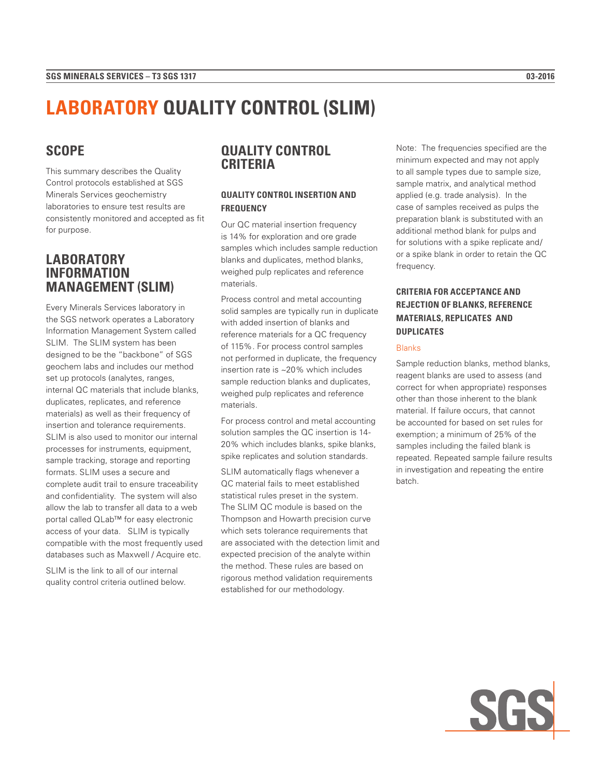# **LABORATORY QUALITY CONTROL (SLIM)**

# **SCOPE**

This summary describes the Quality Control protocols established at SGS Minerals Services geochemistry laboratories to ensure test results are consistently monitored and accepted as fit for purpose.

## **LABORATORY INFORMATION MANAGEMENT (SLIM)**

Every Minerals Services laboratory in the SGS network operates a Laboratory Information Management System called SLIM. The SLIM system has been designed to be the "backbone" of SGS geochem labs and includes our method set up protocols (analytes, ranges, internal QC materials that include blanks, duplicates, replicates, and reference materials) as well as their frequency of insertion and tolerance requirements. SLIM is also used to monitor our internal processes for instruments, equipment, sample tracking, storage and reporting formats. SLIM uses a secure and complete audit trail to ensure traceability and confidentiality. The system will also allow the lab to transfer all data to a web portal called QLab™ for easy electronic access of your data. SLIM is typically compatible with the most frequently used databases such as Maxwell / Acquire etc.

SLIM is the link to all of our internal quality control criteria outlined below.

# **QUALITY CONTROL CRITERIA**

### **QUALITY CONTROL INSERTION AND FREQUENCY**

Our QC material insertion frequency is 14% for exploration and ore grade samples which includes sample reduction blanks and duplicates, method blanks, weighed pulp replicates and reference materials.

Process control and metal accounting solid samples are typically run in duplicate with added insertion of blanks and reference materials for a QC frequency of 115%. For process control samples not performed in duplicate, the frequency insertion rate is ~20% which includes sample reduction blanks and duplicates, weighed pulp replicates and reference materials.

For process control and metal accounting solution samples the QC insertion is 14- 20% which includes blanks, spike blanks, spike replicates and solution standards.

SLIM automatically flags whenever a QC material fails to meet established statistical rules preset in the system. The SLIM QC module is based on the Thompson and Howarth precision curve which sets tolerance requirements that are associated with the detection limit and expected precision of the analyte within the method. These rules are based on rigorous method validation requirements established for our methodology.

Note: The frequencies specified are the minimum expected and may not apply to all sample types due to sample size, sample matrix, and analytical method applied (e.g. trade analysis). In the case of samples received as pulps the preparation blank is substituted with an additional method blank for pulps and for solutions with a spike replicate and/ or a spike blank in order to retain the QC frequency.

### **CRITERIA FOR ACCEPTANCE AND REJECTION OF BLANKS, REFERENCE MATERIALS, REPLICATES AND DUPLICATES**

#### Blanks

Sample reduction blanks, method blanks, reagent blanks are used to assess (and correct for when appropriate) responses other than those inherent to the blank material. If failure occurs, that cannot be accounted for based on set rules for exemption; a minimum of 25% of the samples including the failed blank is repeated. Repeated sample failure results in investigation and repeating the entire batch.